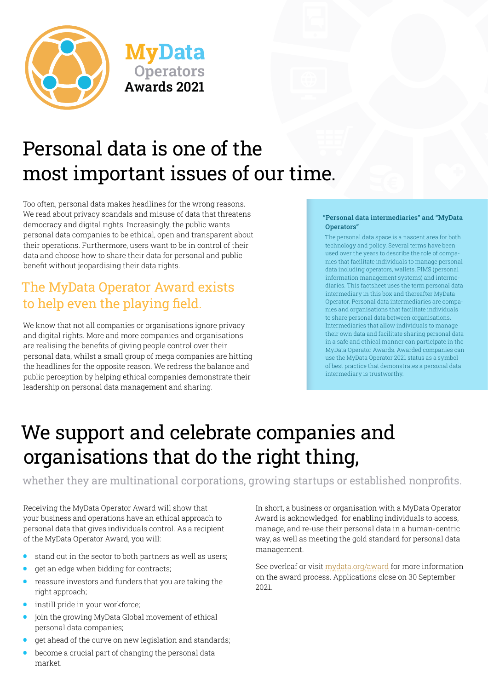

# Personal data is one of the most important issues of our time.

**Operators**

**Awards 2021**

**MyData** 

Too often, personal data makes headlines for the wrong reasons. We read about privacy scandals and misuse of data that threatens democracy and digital rights. Increasingly, the public wants personal data companies to be ethical, open and transparent about their operations. Furthermore, users want to be in control of their data and choose how to share their data for personal and public benefit without jeopardising their data rights.

### The MyData Operator Award exists to help even the playing field.

We know that not all companies or organisations ignore privacy and digital rights. More and more companies and organisations are realising the benefits of giving people control over their personal data, whilst a small group of mega companies are hitting the headlines for the opposite reason. We redress the balance and public perception by helping ethical companies demonstrate their leadership on personal data management and sharing.

#### "Personal data intermediaries" and "MyData Operators"

The personal data space is a nascent area for both technology and policy. Several terms have been used over the years to describe the role of companies that facilitate individuals to manage personal data including operators, wallets, PIMS (personal information management systems) and intermediaries. This factsheet uses the term personal data intermediary in this box and thereafter MyData Operator. Personal data intermediaries are companies and organisations that facilitate individuals to share personal data between organisations. Intermediaries that allow individuals to manage their own data and facilitate sharing personal data in a safe and ethical manner can participate in the MyData Operator Awards. Awarded companies can use the MyData Operator 2021 status as a symbol of best practice that demonstrates a personal data intermediary is trustworthy.

# We support and celebrate companies and organisations that do the right thing,

whether they are multinational corporations, growing startups or established nonprofits.

Receiving the MyData Operator Award will show that your business and operations have an ethical approach to personal data that gives individuals control. As a recipient of the MyData Operator Award, you will:

- stand out in the sector to both partners as well as users;<br>•  $\alpha$  at an edge when bidding for contracts;
- get an edge when bidding for contracts;
- reassure investors and funders that you are taking the right approach;
- instill pride in your workforce;
- join the growing MyData Global movement of ethical personal data companies;
- get ahead of the curve on new legislation and standards;
- become a crucial part of changing the personal data market.

In short, a business or organisation with a MyData Operator Award is acknowledged for enabling individuals to access, manage, and re-use their personal data in a human-centric way, as well as meeting the gold standard for personal data management.

See overleaf or visit [mydata.org/award](https://mydata.org/award/) for more information on the award process. Applications close on 30 September 2021.